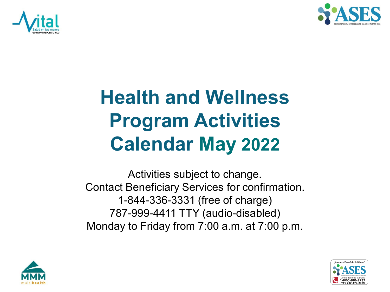



## **Health and Wellness Program Activities Calendar May 2022**

Activities subject to change. Contact Beneficiary Services for confirmation. 1-844-336-3331 (free of charge) 787-999-4411 TTY (audio-disabled) Monday to Friday from 7:00 a.m. at 7:00 p.m.



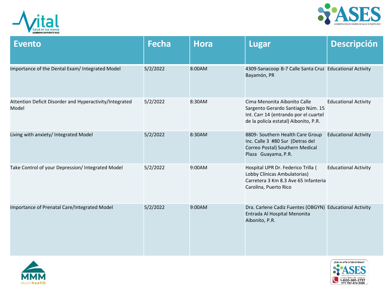



| <b>Evento</b>                                                    | <b>Fecha</b> | <b>Hora</b> | <b>Lugar</b>                                                                                                                                        | <b>Descripción</b>          |
|------------------------------------------------------------------|--------------|-------------|-----------------------------------------------------------------------------------------------------------------------------------------------------|-----------------------------|
| Importance of the Dental Exam/ Integrated Model                  | 5/2/2022     | 8:00AM      | 4309-Sanacoop B-7 Calle Santa Cruz Educational Activity<br>Bayamón, PR                                                                              |                             |
| Attention Deficit Disorder and Hyperactivity/Integrated<br>Model | 5/2/2022     | 8:30AM      | Cima Menonita Aibonito Calle<br>Sargento Gerardo Santiago Núm. 15<br>Int. Carr 14 (entrando por el cuartel<br>de la policía estatal) Aibonito, P.R. | <b>Educational Activity</b> |
| Living with anxiety/ Integrated Model                            | 5/2/2022     | 8:30AM      | 8809- Southern Health Care Group<br>Inc. Calle 3 #80 Sur (Detras del<br>Correo Postal) Southern Medical<br>Plaza Guayama, P.R.                      | <b>Educational Activity</b> |
| Take Control of your Depression/ Integrated Model                | 5/2/2022     | 9:00AM      | Hospital UPR Dr. Federico Trilla (<br>Lobby Clínicas Ambulatorias)<br>Carretera 3 Km 8.3 Ave 65 Infanteria<br>Carolina, Puerto Rico                 | <b>Educational Activity</b> |
| Importance of Prenatal Care/Integrated Model                     | 5/2/2022     | 9:00AM      | Dra. Carlene Cadiz Fuentes (OBGYN) Educational Activity<br>Entrada Al Hospital Menonita<br>Aibonito, P.R.                                           |                             |



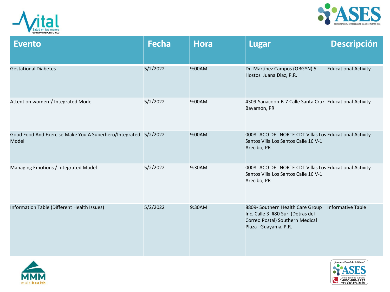



| <b>Evento</b>                                                            | <b>Fecha</b> | <b>Hora</b> | <b>Lugar</b>                                                                                                                   | <b>Descripción</b>          |
|--------------------------------------------------------------------------|--------------|-------------|--------------------------------------------------------------------------------------------------------------------------------|-----------------------------|
| <b>Gestational Diabetes</b>                                              | 5/2/2022     | 9:00AM      | Dr. Martínez Campos (OBGYN) 5<br>Hostos Juana Diaz, P.R.                                                                       | <b>Educational Activity</b> |
| Attention women!/ Integrated Model                                       | 5/2/2022     | 9:00AM      | 4309-Sanacoop B-7 Calle Santa Cruz Educational Activity<br>Bayamón, PR                                                         |                             |
| Good Food And Exercise Make You A Superhero/Integrated 5/2/2022<br>Model |              | 9:00AM      | 0008- ACO DEL NORTE CDT Villas Los Educational Activity<br>Santos Villa Los Santos Calle 16 V-1<br>Arecibo, PR                 |                             |
| Managing Emotions / Integrated Model                                     | 5/2/2022     | 9:30AM      | 0008- ACO DEL NORTE CDT Villas Los Educational Activity<br>Santos Villa Los Santos Calle 16 V-1<br>Arecibo, PR                 |                             |
| Information Table (Different Health Issues)                              | 5/2/2022     | 9:30AM      | 8809- Southern Health Care Group<br>Inc. Calle 3 #80 Sur (Detras del<br>Correo Postal) Southern Medical<br>Plaza Guayama, P.R. | <b>Informative Table</b>    |



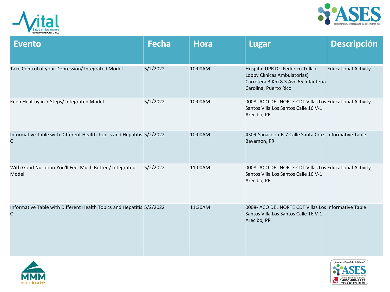



| <b>Evento</b>                                                              | <b>Fecha</b> | <b>Hora</b> | <b>Lugar</b>                                                                                                                        | <b>Descripción</b>          |
|----------------------------------------------------------------------------|--------------|-------------|-------------------------------------------------------------------------------------------------------------------------------------|-----------------------------|
| Take Control of your Depression/ Integrated Model                          | 5/2/2022     | 10:00AM     | Hospital UPR Dr. Federico Trilla (<br>Lobby Clínicas Ambulatorias)<br>Carretera 3 Km 8.3 Ave 65 Infanteria<br>Carolina, Puerto Rico | <b>Educational Activity</b> |
| Keep Healthy in 7 Steps/ Integrated Model                                  | 5/2/2022     | 10:00AM     | 0008- ACO DEL NORTE CDT Villas Los Educational Activity<br>Santos Villa Los Santos Calle 16 V-1<br>Arecibo, PR                      |                             |
| Informative Table with Different Health Topics and Hepatitis 5/2/2022<br>C |              | 10:00AM     | 4309-Sanacoop B-7 Calle Santa Cruz Informative Table<br>Bayamón, PR                                                                 |                             |
| With Good Nutrition You'll Feel Much Better / Integrated<br>Model          | 5/2/2022     | 11:00AM     | 0008- ACO DEL NORTE CDT Villas Los Educational Activity<br>Santos Villa Los Santos Calle 16 V-1<br>Arecibo, PR                      |                             |
| Informative Table with Different Health Topics and Hepatitis 5/2/2022<br>C |              | 11:30AM     | 0008- ACO DEL NORTE CDT Villas Los Informative Table<br>Santos Villa Los Santos Calle 16 V-1<br>Arecibo, PR                         |                             |



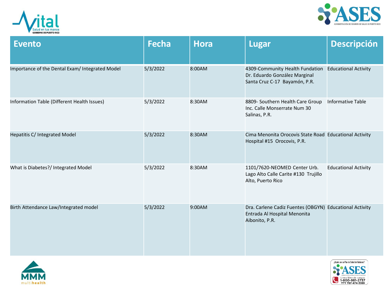



| <b>Evento</b>                                   | <b>Fecha</b> | <b>Hora</b> | <b>Lugar</b>                                                                                              | <b>Descripción</b>          |
|-------------------------------------------------|--------------|-------------|-----------------------------------------------------------------------------------------------------------|-----------------------------|
| Importance of the Dental Exam/ Integrated Model | 5/3/2022     | 8:00AM      | 4309-Community Health Fundation<br>Dr. Eduardo González Marginal<br>Santa Cruz C-17 Bayamón, P.R.         | <b>Educational Activity</b> |
| Information Table (Different Health Issues)     | 5/3/2022     | 8:30AM      | 8809- Southern Health Care Group<br>Inc. Calle Monserrate Num 30<br>Salinas, P.R.                         | <b>Informative Table</b>    |
| Hepatitis C/ Integrated Model                   | 5/3/2022     | 8:30AM      | Cima Menonita Orocovis State Road Educational Activity<br>Hospital #15 Orocovis, P.R.                     |                             |
| What is Diabetes?/ Integrated Model             | 5/3/2022     | 8:30AM      | 1101/7620-NEOMED Center Urb.<br>Lago Alto Calle Carite #130 Trujillo<br>Alto, Puerto Rico                 | <b>Educational Activity</b> |
| Birth Attendance Law/Integrated model           | 5/3/2022     | 9:00AM      | Dra. Carlene Cadiz Fuentes (OBGYN) Educational Activity<br>Entrada Al Hospital Menonita<br>Aibonito, P.R. |                             |



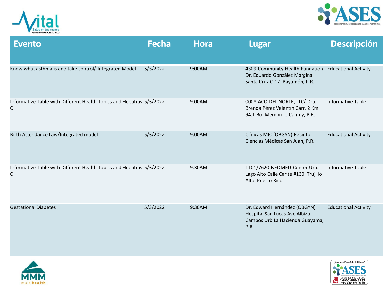



| <b>Evento</b>                                                              | <b>Fecha</b> | <b>Hora</b> | <b>Lugar</b>                                                                                             | <b>Descripción</b>          |
|----------------------------------------------------------------------------|--------------|-------------|----------------------------------------------------------------------------------------------------------|-----------------------------|
| Know what asthma is and take control/ Integrated Model                     | 5/3/2022     | 9:00AM      | 4309-Community Health Fundation<br>Dr. Eduardo González Marginal<br>Santa Cruz C-17 Bayamón, P.R.        | <b>Educational Activity</b> |
| Informative Table with Different Health Topics and Hepatitis 5/3/2022<br>C |              | 9:00AM      | 0008-ACO DEL NORTE, LLC/ Dra.<br>Brenda Pérez Valentín Carr. 2 Km<br>94.1 Bo. Membrillo Camuy, P.R.      | <b>Informative Table</b>    |
| Birth Attendance Law/Integrated model                                      | 5/3/2022     | 9:00AM      | Clínicas MIC (OBGYN) Recinto<br>Ciencias Médicas San Juan, P.R.                                          | <b>Educational Activity</b> |
| Informative Table with Different Health Topics and Hepatitis 5/3/2022<br>C |              | 9:30AM      | 1101/7620-NEOMED Center Urb.<br>Lago Alto Calle Carite #130 Trujillo<br>Alto, Puerto Rico                | <b>Informative Table</b>    |
| <b>Gestational Diabetes</b>                                                | 5/3/2022     | 9:30AM      | Dr. Edward Hernández (OBGYN)<br>Hospital San Lucas Ave Albizu<br>Campos Urb La Hacienda Guayama,<br>P.R. | <b>Educational Activity</b> |



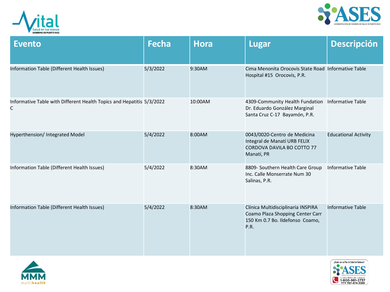



| <b>Evento</b>                                                              | <b>Fecha</b> | <b>Hora</b> | <b>Lugar</b>                                                                                                      | <b>Descripción</b>          |
|----------------------------------------------------------------------------|--------------|-------------|-------------------------------------------------------------------------------------------------------------------|-----------------------------|
| Information Table (Different Health Issues)                                | 5/3/2022     | 9:30AM      | Cima Menonita Orocovis State Road Informative Table<br>Hospital #15 Orocovis, P.R.                                |                             |
| Informative Table with Different Health Topics and Hepatitis 5/3/2022<br>C |              | 10:00AM     | 4309-Community Health Fundation<br>Dr. Eduardo González Marginal<br>Santa Cruz C-17 Bayamón, P.R.                 | <b>Informative Table</b>    |
| Hyperthension/ Integrated Model                                            | 5/4/2022     | 8:00AM      | 0043/0020-Centro de Medicina<br>Integral de Manatí URB FELIX<br>CORDOVA DAVILA BO COTTO 77<br>Manatí, PR          | <b>Educational Activity</b> |
| Information Table (Different Health Issues)                                | 5/4/2022     | 8:30AM      | 8809- Southern Health Care Group<br>Inc. Calle Monserrate Num 30<br>Salinas, P.R.                                 | <b>Informative Table</b>    |
| Information Table (Different Health Issues)                                | 5/4/2022     | 8:30AM      | Clínica Multidisciplinaria INSPIRA<br>Coamo Plaza Shopping Center Carr<br>150 Km 0.7 Bo. Ildefonso Coamo,<br>P.R. | <b>Informative Table</b>    |



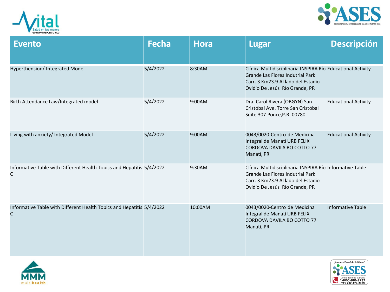



| <b>Evento</b>                                                              | <b>Fecha</b> | <b>Hora</b> | <b>Lugar</b>                                                                                                                                                            | <b>Descripción</b>          |
|----------------------------------------------------------------------------|--------------|-------------|-------------------------------------------------------------------------------------------------------------------------------------------------------------------------|-----------------------------|
| Hyperthension/ Integrated Model                                            | 5/4/2022     | 8:30AM      | Clínica Multidisciplinaria INSPIRA Río Educational Activity<br>Grande Las Flores Indutrial Park<br>Carr. 3 Km23.9 Al lado del Estadio<br>Ovidio De Jesús Río Grande, PR |                             |
| Birth Attendance Law/Integrated model                                      | 5/4/2022     | 9:00AM      | Dra. Carol Rivera (OBGYN) San<br>Cristóbal Ave. Torre San Cristóbal<br>Suite 307 Ponce, P.R. 00780                                                                      | <b>Educational Activity</b> |
| Living with anxiety/ Integrated Model                                      | 5/4/2022     | 9:00AM      | 0043/0020-Centro de Medicina<br>Integral de Manatí URB FELIX<br>CORDOVA DAVILA BO COTTO 77<br>Manatí, PR                                                                | <b>Educational Activity</b> |
| Informative Table with Different Health Topics and Hepatitis 5/4/2022<br>C |              | 9:30AM      | Clínica Multidisciplinaria INSPIRA Río Informative Table<br>Grande Las Flores Indutrial Park<br>Carr. 3 Km23.9 Al lado del Estadio<br>Ovidio De Jesús Río Grande, PR    |                             |
| Informative Table with Different Health Topics and Hepatitis 5/4/2022<br>C |              | 10:00AM     | 0043/0020-Centro de Medicina<br>Integral de Manatí URB FELIX<br>CORDOVA DAVILA BO COTTO 77<br>Manatí, PR                                                                | <b>Informative Table</b>    |



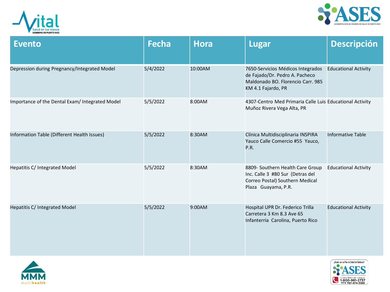



| <b>Evento</b>                                   | <b>Fecha</b> | <b>Hora</b> | <b>Lugar</b>                                                                                                                   | <b>Descripción</b>          |
|-------------------------------------------------|--------------|-------------|--------------------------------------------------------------------------------------------------------------------------------|-----------------------------|
| Depression during Pregnancy/Integrated Model    | 5/4/2022     | 10:00AM     | 7650-Servicios Médicos Integrados<br>de Fajado/Dr. Pedro A. Pacheco<br>Maldonado BO. Florencio Carr. 985<br>KM 4.1 Fajardo, PR | <b>Educational Activity</b> |
| Importance of the Dental Exam/ Integrated Model | 5/5/2022     | 8:00AM      | 4307-Centro Med Primaria Calle Luis Educational Activity<br>Muñoz Rivera Vega Alta, PR                                         |                             |
| Information Table (Different Health Issues)     | 5/5/2022     | 8:30AM      | Clínica Multidisciplinaria INSPIRA<br>Yauco Calle Comercio #55 Yauco,<br>P.R.                                                  | <b>Informative Table</b>    |
| Hepatitis C/ Integrated Model                   | 5/5/2022     | 8:30AM      | 8809- Southern Health Care Group<br>Inc. Calle 3 #80 Sur (Detras del<br>Correo Postal) Southern Medical<br>Plaza Guayama, P.R. | <b>Educational Activity</b> |
| Hepatitis C/ Integrated Model                   | 5/5/2022     | 9:00AM      | Hospital UPR Dr. Federico Trilla<br>Carretera 3 Km 8.3 Ave 65<br>Infanterria Carolina, Puerto Rico                             | <b>Educational Activity</b> |



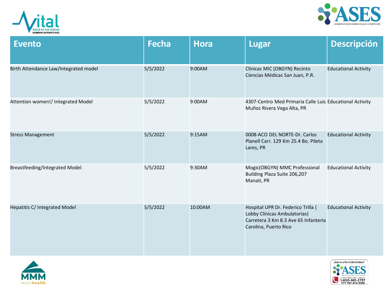



| <b>Evento</b>                         | <b>Fecha</b> | <b>Hora</b> | <b>Lugar</b>                                                                                                                        | <b>Descripción</b>          |
|---------------------------------------|--------------|-------------|-------------------------------------------------------------------------------------------------------------------------------------|-----------------------------|
| Birth Attendance Law/Integrated model | 5/5/2022     | 9:00AM      | Clínicas MIC (OBGYN) Recinto<br>Ciencias Médicas San Juan, P.R.                                                                     | <b>Educational Activity</b> |
| Attention women!/ Integrated Model    | 5/5/2022     | 9:00AM      | 4307-Centro Med Primaria Calle Luis Educational Activity<br>Muñoz Rivera Vega Alta, PR                                              |                             |
| <b>Stress Management</b>              | 5/5/2022     | 9:15AM      | 0008-ACO DEL NORTE-Dr. Carlos<br>Planell Carr. 129 Km 25.4 Bo. Pileta<br>Lares, PR                                                  | <b>Educational Activity</b> |
| <b>Breastfeeding/Integrated Model</b> | 5/5/2022     | 9:30AM      | Mogic(OBGYN) MMC Professional<br>Building Plaza Suite 206,207<br>Manati, PR                                                         | <b>Educational Activity</b> |
| Hepatitis C/ Integrated Model         | 5/5/2022     | 10:00AM     | Hospital UPR Dr. Federico Trilla (<br>Lobby Clínicas Ambulatorias)<br>Carretera 3 Km 8.3 Ave 65 Infanteria<br>Carolina, Puerto Rico | <b>Educational Activity</b> |



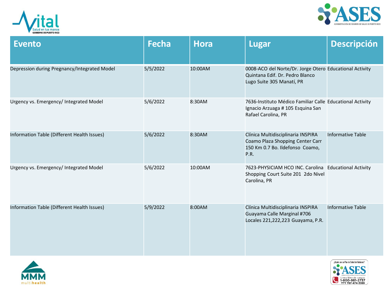



| <b>Evento</b>                                | <b>Fecha</b> | <b>Hora</b> | <b>Lugar</b>                                                                                                            | <b>Descripción</b>       |
|----------------------------------------------|--------------|-------------|-------------------------------------------------------------------------------------------------------------------------|--------------------------|
| Depression during Pregnancy/Integrated Model | 5/5/2022     | 10:00AM     | 0008-ACO del Norte/Dr. Jorge Otero Educational Activity<br>Quintana Edif. Dr. Pedro Blanco<br>Lugo Suite 305 Manatí, PR |                          |
| Urgency vs. Emergency/ Integrated Model      | 5/6/2022     | 8:30AM      | 7636-Instituto Médico Familiar Calle Educational Activity<br>Ignacio Arzuaga # 105 Esquina San<br>Rafael Carolina, PR   |                          |
| Information Table (Different Health Issues)  | 5/6/2022     | 8:30AM      | Clínica Multidisciplinaria INSPIRA<br>Coamo Plaza Shopping Center Carr<br>150 Km 0.7 Bo. Ildefonso Coamo,<br>P.R.       | <b>Informative Table</b> |
| Urgency vs. Emergency/ Integrated Model      | 5/6/2022     | 10:00AM     | 7623-PHYSICIAM HCO INC. Carolina Educational Activity<br>Shopping Court Suite 201 2do Nivel<br>Carolina, PR             |                          |
| Information Table (Different Health Issues)  | 5/9/2022     | 8:00AM      | Clínica Multidisciplinaria INSPIRA<br>Guayama Calle Marginal #706<br>Locales 221,222,223 Guayama, P.R.                  | <b>Informative Table</b> |



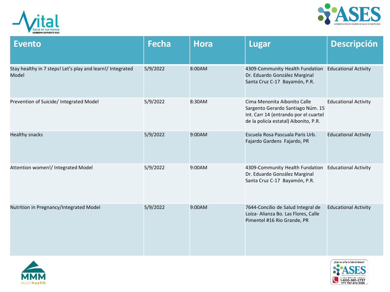



| <b>Evento</b>                                                       | <b>Fecha</b> | <b>Hora</b> | <b>Lugar</b>                                                                                                                                        | <b>Descripción</b>          |
|---------------------------------------------------------------------|--------------|-------------|-----------------------------------------------------------------------------------------------------------------------------------------------------|-----------------------------|
| Stay healthy in 7 steps! Let's play and learn!/ Integrated<br>Model | 5/9/2022     | 8:00AM      | 4309-Community Health Fundation<br>Dr. Eduardo González Marginal<br>Santa Cruz C-17 Bayamón, P.R.                                                   | <b>Educational Activity</b> |
| Prevention of Suicide/ Integrated Model                             | 5/9/2022     | 8:30AM      | Cima Menonita Aibonito Calle<br>Sargento Gerardo Santiago Núm. 15<br>Int. Carr 14 (entrando por el cuartel<br>de la policía estatal) Aibonito, P.R. | <b>Educational Activity</b> |
| <b>Healthy snacks</b>                                               | 5/9/2022     | 9:00AM      | Escuela Rosa Pascuala Paris Urb.<br>Fajardo Gardens Fajardo, PR                                                                                     | <b>Educational Activity</b> |
| Attention women!/ Integrated Model                                  | 5/9/2022     | 9:00AM      | 4309-Community Health Fundation<br>Dr. Eduardo González Marginal<br>Santa Cruz C-17 Bayamón, P.R.                                                   | <b>Educational Activity</b> |
| Nutrition in Pregnancy/Integrated Model                             | 5/9/2022     | 9:00AM      | 7644-Concilio de Salud Integral de<br>Loíza- Alianza Bo. Las Flores, Calle<br>Pimentel #16 Rio Grande, PR                                           | <b>Educational Activity</b> |



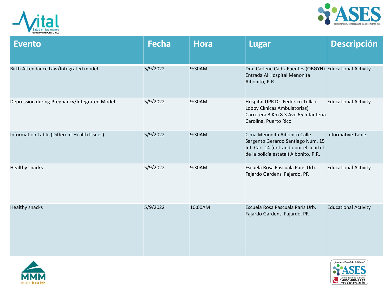



| <b>Evento</b>                                | <b>Fecha</b> | <b>Hora</b> | <b>Lugar</b>                                                                                                                                        | <b>Descripción</b>          |
|----------------------------------------------|--------------|-------------|-----------------------------------------------------------------------------------------------------------------------------------------------------|-----------------------------|
| Birth Attendance Law/Integrated model        | 5/9/2022     | 9:30AM      | Dra. Carlene Cadiz Fuentes (OBGYN) Educational Activity<br>Entrada Al Hospital Menonita<br>Aibonito, P.R.                                           |                             |
| Depression during Pregnancy/Integrated Model | 5/9/2022     | 9:30AM      | Hospital UPR Dr. Federico Trilla (<br>Lobby Clínicas Ambulatorias)<br>Carretera 3 Km 8.3 Ave 65 Infanteria<br>Carolina, Puerto Rico                 | <b>Educational Activity</b> |
| Information Table (Different Health Issues)  | 5/9/2022     | 9:30AM      | Cima Menonita Aibonito Calle<br>Sargento Gerardo Santiago Núm. 15<br>Int. Carr 14 (entrando por el cuartel<br>de la policía estatal) Aibonito, P.R. | <b>Informative Table</b>    |
| <b>Healthy snacks</b>                        | 5/9/2022     | 9:30AM      | Escuela Rosa Pascuala Paris Urb.<br>Fajardo Gardens Fajardo, PR                                                                                     | <b>Educational Activity</b> |
| <b>Healthy snacks</b>                        | 5/9/2022     | 10:00AM     | Escuela Rosa Pascuala Paris Urb.<br>Fajardo Gardens Fajardo, PR                                                                                     | <b>Educational Activity</b> |



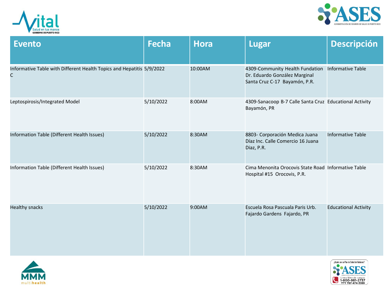



| <b>Evento</b>                                                              | <b>Fecha</b> | <b>Hora</b> | <b>Lugar</b>                                                                                      | <b>Descripción</b>          |
|----------------------------------------------------------------------------|--------------|-------------|---------------------------------------------------------------------------------------------------|-----------------------------|
| Informative Table with Different Health Topics and Hepatitis 5/9/2022<br>C |              | 10:00AM     | 4309-Community Health Fundation<br>Dr. Eduardo González Marginal<br>Santa Cruz C-17 Bayamón, P.R. | <b>Informative Table</b>    |
| Leptospirosis/Integrated Model                                             | 5/10/2022    | 8:00AM      | 4309-Sanacoop B-7 Calle Santa Cruz Educational Activity<br>Bayamón, PR                            |                             |
| Information Table (Different Health Issues)                                | 5/10/2022    | 8:30AM      | 8803- Corporación Medica Juana<br>Díaz Inc. Calle Comercio 16 Juana<br>Diaz, P.R.                 | <b>Informative Table</b>    |
| Information Table (Different Health Issues)                                | 5/10/2022    | 8:30AM      | Cima Menonita Orocovis State Road Informative Table<br>Hospital #15 Orocovis, P.R.                |                             |
| <b>Healthy snacks</b>                                                      | 5/10/2022    | 9:00AM      | Escuela Rosa Pascuala Paris Urb.<br>Fajardo Gardens Fajardo, PR                                   | <b>Educational Activity</b> |



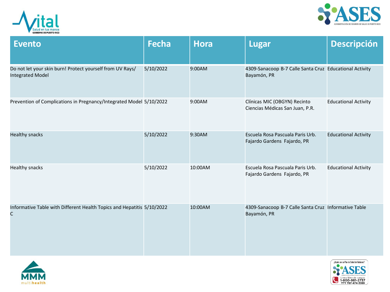



| <b>Evento</b>                                                                        | <b>Fecha</b> | <b>Hora</b> | <b>Lugar</b>                                                           | Descripción                 |
|--------------------------------------------------------------------------------------|--------------|-------------|------------------------------------------------------------------------|-----------------------------|
| Do not let your skin burn! Protect yourself from UV Rays/<br><b>Integrated Model</b> | 5/10/2022    | 9:00AM      | 4309-Sanacoop B-7 Calle Santa Cruz Educational Activity<br>Bayamón, PR |                             |
| Prevention of Complications in Pregnancy/Integrated Model 5/10/2022                  |              | 9:00AM      | Clínicas MIC (OBGYN) Recinto<br>Ciencias Médicas San Juan, P.R.        | <b>Educational Activity</b> |
| <b>Healthy snacks</b>                                                                | 5/10/2022    | 9:30AM      | Escuela Rosa Pascuala Paris Urb.<br>Fajardo Gardens Fajardo, PR        | <b>Educational Activity</b> |
| Healthy snacks                                                                       | 5/10/2022    | 10:00AM     | Escuela Rosa Pascuala Paris Urb.<br>Fajardo Gardens Fajardo, PR        | <b>Educational Activity</b> |
| Informative Table with Different Health Topics and Hepatitis 5/10/2022<br>C          |              | 10:00AM     | 4309-Sanacoop B-7 Calle Santa Cruz Informative Table<br>Bayamón, PR    |                             |



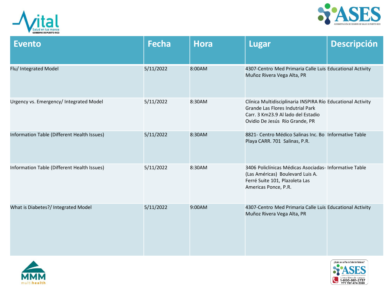



| <b>Evento</b>                               | <b>Fecha</b> | <b>Hora</b> | <b>Lugar</b>                                                                                                                                                            | <b>Descripción</b> |
|---------------------------------------------|--------------|-------------|-------------------------------------------------------------------------------------------------------------------------------------------------------------------------|--------------------|
| Flu/ Integrated Model                       | 5/11/2022    | 8:00AM      | 4307-Centro Med Primaria Calle Luis Educational Activity<br>Muñoz Rivera Vega Alta, PR                                                                                  |                    |
| Urgency vs. Emergency/ Integrated Model     | 5/11/2022    | 8:30AM      | Clínica Multidisciplinaria INSPIRA Río Educational Activity<br>Grande Las Flores Indutrial Park<br>Carr. 3 Km23.9 Al lado del Estadio<br>Ovidio De Jesús Río Grande, PR |                    |
| Information Table (Different Health Issues) | 5/11/2022    | 8:30AM      | 8821- Centro Médico Salinas Inc. Bo Informative Table<br>Playa CARR. 701 Salinas, P.R.                                                                                  |                    |
| Information Table (Different Health Issues) | 5/11/2022    | 8:30AM      | 3406 Policlínicas Médicas Asociadas-Informative Table<br>(Las Américas) Boulevard Luis A.<br>Ferré Suite 101, Plazoleta Las<br>Americas Ponce, P.R.                     |                    |
| What is Diabetes?/ Integrated Model         | 5/11/2022    | 9:00AM      | 4307-Centro Med Primaria Calle Luis Educational Activity<br>Muñoz Rivera Vega Alta, PR                                                                                  |                    |



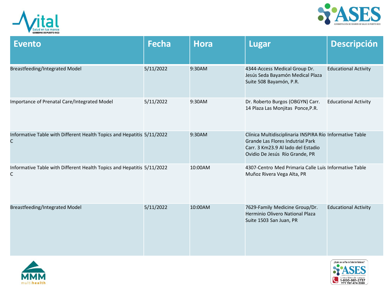



| <b>Evento</b>                                                               | <b>Fecha</b> | <b>Hora</b> | <b>Lugar</b>                                                                                                                                                         | <b>Descripción</b>          |
|-----------------------------------------------------------------------------|--------------|-------------|----------------------------------------------------------------------------------------------------------------------------------------------------------------------|-----------------------------|
| <b>Breastfeeding/Integrated Model</b>                                       | 5/11/2022    | 9:30AM      | 4344-Access Medical Group Dr.<br>Jesús Seda Bayamón Medical Plaza<br>Suite 508 Bayamón, P.R.                                                                         | <b>Educational Activity</b> |
| Importance of Prenatal Care/Integrated Model                                | 5/11/2022    | 9:30AM      | Dr. Roberto Burgos (OBGYN) Carr.<br>14 Plaza Las Monjitas Ponce, P.R.                                                                                                | <b>Educational Activity</b> |
| Informative Table with Different Health Topics and Hepatitis 5/11/2022<br>C |              | 9:30AM      | Clínica Multidisciplinaria INSPIRA Río Informative Table<br>Grande Las Flores Indutrial Park<br>Carr. 3 Km23.9 Al lado del Estadio<br>Ovidio De Jesús Río Grande, PR |                             |
| Informative Table with Different Health Topics and Hepatitis 5/11/2022<br>C |              | 10:00AM     | 4307-Centro Med Primaria Calle Luis Informative Table<br>Muñoz Rivera Vega Alta, PR                                                                                  |                             |
| <b>Breastfeeding/Integrated Model</b>                                       | 5/11/2022    | 10:00AM     | 7629-Family Medicine Group/Dr.<br>Herminio Olivero National Plaza<br>Suite 1503 San Juan, PR                                                                         | <b>Educational Activity</b> |



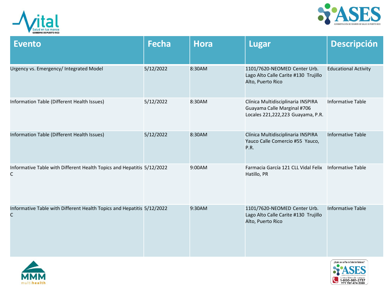



| <b>Evento</b>                                                                          | <b>Fecha</b> | <b>Hora</b> | <b>Lugar</b>                                                                                           | <b>Descripción</b>          |
|----------------------------------------------------------------------------------------|--------------|-------------|--------------------------------------------------------------------------------------------------------|-----------------------------|
| Urgency vs. Emergency/ Integrated Model                                                | 5/12/2022    | 8:30AM      | 1101/7620-NEOMED Center Urb.<br>Lago Alto Calle Carite #130 Trujillo<br>Alto, Puerto Rico              | <b>Educational Activity</b> |
| Information Table (Different Health Issues)                                            | 5/12/2022    | 8:30AM      | Clínica Multidisciplinaria INSPIRA<br>Guayama Calle Marginal #706<br>Locales 221,222,223 Guayama, P.R. | <b>Informative Table</b>    |
| Information Table (Different Health Issues)                                            | 5/12/2022    | 8:30AM      | Clínica Multidisciplinaria INSPIRA<br>Yauco Calle Comercio #55 Yauco,<br>P.R.                          | <b>Informative Table</b>    |
| Informative Table with Different Health Topics and Hepatitis 5/12/2022<br>C            |              | 9:00AM      | Farmacia García 121 CLL Vidal Felix<br>Hatillo, PR                                                     | <b>Informative Table</b>    |
| Informative Table with Different Health Topics and Hepatitis 5/12/2022<br>$\mathsf{C}$ |              | 9:30AM      | 1101/7620-NEOMED Center Urb.<br>Lago Alto Calle Carite #130 Trujillo<br>Alto, Puerto Rico              | <b>Informative Table</b>    |



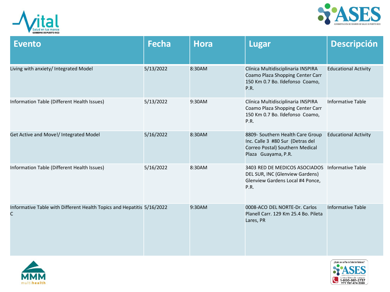



| <b>Evento</b>                                                               | <b>Fecha</b> | <b>Hora</b> | <b>Lugar</b>                                                                                                                   | <b>Descripción</b>          |
|-----------------------------------------------------------------------------|--------------|-------------|--------------------------------------------------------------------------------------------------------------------------------|-----------------------------|
| Living with anxiety/ Integrated Model                                       | 5/13/2022    | 8:30AM      | Clínica Multidisciplinaria INSPIRA<br>Coamo Plaza Shopping Center Carr<br>150 Km 0.7 Bo. Ildefonso Coamo,<br>P.R.              | <b>Educational Activity</b> |
| Information Table (Different Health Issues)                                 | 5/13/2022    | 9:30AM      | Clínica Multidisciplinaria INSPIRA<br>Coamo Plaza Shopping Center Carr<br>150 Km 0.7 Bo. Ildefonso Coamo,<br>P.R.              | <b>Informative Table</b>    |
| Get Active and Move!/ Integrated Model                                      | 5/16/2022    | 8:30AM      | 8809- Southern Health Care Group<br>Inc. Calle 3 #80 Sur (Detras del<br>Correo Postal) Southern Medical<br>Plaza Guayama, P.R. | <b>Educational Activity</b> |
| Information Table (Different Health Issues)                                 | 5/16/2022    | 8:30AM      | 3403 RED DE MEDICOS ASOCIADOS Informative Table<br>DEL SUR, INC (Glenview Gardens)<br>Glenview Gardens Local #4 Ponce,<br>P.R. |                             |
| Informative Table with Different Health Topics and Hepatitis 5/16/2022<br>C |              | 9:30AM      | 0008-ACO DEL NORTE-Dr. Carlos<br>Planell Carr. 129 Km 25.4 Bo. Pileta<br>Lares, PR                                             | <b>Informative Table</b>    |



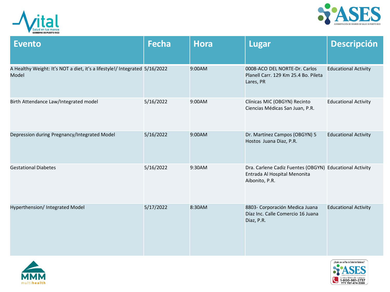



| <b>Evento</b>                                                                       | <b>Fecha</b> | <b>Hora</b> | <b>Lugar</b>                                                                                              | <b>Descripción</b>          |
|-------------------------------------------------------------------------------------|--------------|-------------|-----------------------------------------------------------------------------------------------------------|-----------------------------|
| A Healthy Weight: It's NOT a diet, it's a lifestyle!/ Integrated 5/16/2022<br>Model |              | 9:00AM      | 0008-ACO DEL NORTE-Dr. Carlos<br>Planell Carr. 129 Km 25.4 Bo. Pileta<br>Lares, PR                        | <b>Educational Activity</b> |
| Birth Attendance Law/Integrated model                                               | 5/16/2022    | 9:00AM      | Clínicas MIC (OBGYN) Recinto<br>Ciencias Médicas San Juan, P.R.                                           | <b>Educational Activity</b> |
| Depression during Pregnancy/Integrated Model                                        | 5/16/2022    | 9:00AM      | Dr. Martínez Campos (OBGYN) 5<br>Hostos Juana Diaz, P.R.                                                  | <b>Educational Activity</b> |
| <b>Gestational Diabetes</b>                                                         | 5/16/2022    | 9:30AM      | Dra. Carlene Cadiz Fuentes (OBGYN) Educational Activity<br>Entrada Al Hospital Menonita<br>Aibonito, P.R. |                             |
| Hyperthension/ Integrated Model                                                     | 5/17/2022    | 8:30AM      | 8803- Corporación Medica Juana<br>Díaz Inc. Calle Comercio 16 Juana<br>Diaz, P.R.                         | <b>Educational Activity</b> |



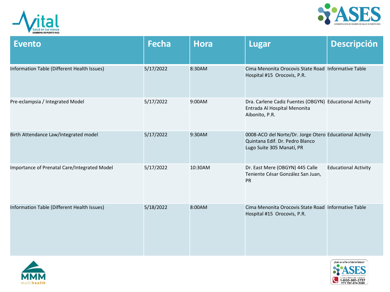



| <b>Evento</b>                                | <b>Fecha</b> | <b>Hora</b> | <b>Lugar</b>                                                                                                            | <b>Descripción</b>          |
|----------------------------------------------|--------------|-------------|-------------------------------------------------------------------------------------------------------------------------|-----------------------------|
| Information Table (Different Health Issues)  | 5/17/2022    | 8:30AM      | Cima Menonita Orocovis State Road Informative Table<br>Hospital #15 Orocovis, P.R.                                      |                             |
| Pre-eclampsia / Integrated Model             | 5/17/2022    | 9:00AM      | Dra. Carlene Cadiz Fuentes (OBGYN) Educational Activity<br>Entrada Al Hospital Menonita<br>Aibonito, P.R.               |                             |
| Birth Attendance Law/Integrated model        | 5/17/2022    | 9:30AM      | 0008-ACO del Norte/Dr. Jorge Otero Educational Activity<br>Quintana Edif. Dr. Pedro Blanco<br>Lugo Suite 305 Manatí, PR |                             |
| Importance of Prenatal Care/Integrated Model | 5/17/2022    | 10:30AM     | Dr. East Mere (OBGYN) 445 Calle<br>Teniente César González San Juan,<br><b>PR</b>                                       | <b>Educational Activity</b> |
| Information Table (Different Health Issues)  | 5/18/2022    | 8:00AM      | Cima Menonita Orocovis State Road Informative Table<br>Hospital #15 Orocovis, P.R.                                      |                             |



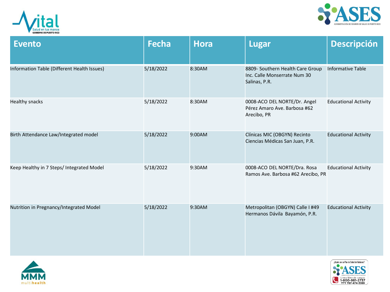



| <b>Evento</b>                               | <b>Fecha</b> | <b>Hora</b> | <b>Lugar</b>                                                                      | <b>Descripción</b>          |
|---------------------------------------------|--------------|-------------|-----------------------------------------------------------------------------------|-----------------------------|
| Information Table (Different Health Issues) | 5/18/2022    | 8:30AM      | 8809- Southern Health Care Group<br>Inc. Calle Monserrate Num 30<br>Salinas, P.R. | <b>Informative Table</b>    |
| <b>Healthy snacks</b>                       | 5/18/2022    | 8:30AM      | 0008-ACO DEL NORTE/Dr. Angel<br>Pérez Amaro Ave. Barbosa #62<br>Arecibo, PR       | <b>Educational Activity</b> |
| Birth Attendance Law/Integrated model       | 5/18/2022    | 9:00AM      | Clínicas MIC (OBGYN) Recinto<br>Ciencias Médicas San Juan, P.R.                   | <b>Educational Activity</b> |
| Keep Healthy in 7 Steps/ Integrated Model   | 5/18/2022    | 9:30AM      | 0008-ACO DEL NORTE/Dra. Rosa<br>Ramos Ave. Barbosa #62 Arecibo, PR                | <b>Educational Activity</b> |
| Nutrition in Pregnancy/Integrated Model     | 5/18/2022    | 9:30AM      | Metropolitan (OBGYN) Calle I #49<br>Hermanos Dávila Bayamón, P.R.                 | <b>Educational Activity</b> |



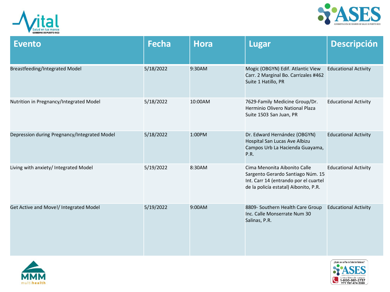



| <b>Evento</b>                                | <b>Fecha</b> | <b>Hora</b> | Lugar                                                                                                                                               | <b>Descripción</b>          |
|----------------------------------------------|--------------|-------------|-----------------------------------------------------------------------------------------------------------------------------------------------------|-----------------------------|
| <b>Breastfeeding/Integrated Model</b>        | 5/18/2022    | 9:30AM      | Mogic (OBGYN) Edif. Atlantic View<br>Carr. 2 Marginal Bo. Carrizales #462<br>Suite 1 Hatillo, PR                                                    | <b>Educational Activity</b> |
| Nutrition in Pregnancy/Integrated Model      | 5/18/2022    | 10:00AM     | 7629-Family Medicine Group/Dr.<br>Herminio Olivero National Plaza<br>Suite 1503 San Juan, PR                                                        | <b>Educational Activity</b> |
| Depression during Pregnancy/Integrated Model | 5/18/2022    | 1:00PM      | Dr. Edward Hernández (OBGYN)<br>Hospital San Lucas Ave Albizu<br>Campos Urb La Hacienda Guayama,<br>P.R.                                            | <b>Educational Activity</b> |
| Living with anxiety/ Integrated Model        | 5/19/2022    | 8:30AM      | Cima Menonita Aibonito Calle<br>Sargento Gerardo Santiago Núm. 15<br>Int. Carr 14 (entrando por el cuartel<br>de la policía estatal) Aibonito, P.R. | <b>Educational Activity</b> |
| Get Active and Move!/ Integrated Model       | 5/19/2022    | 9:00AM      | 8809- Southern Health Care Group<br>Inc. Calle Monserrate Num 30<br>Salinas, P.R.                                                                   | <b>Educational Activity</b> |



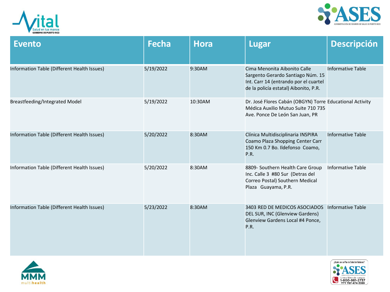



| <b>Evento</b>                               | <b>Fecha</b> | <b>Hora</b> | <b>Lugar</b>                                                                                                                                        | <b>Descripción</b>       |
|---------------------------------------------|--------------|-------------|-----------------------------------------------------------------------------------------------------------------------------------------------------|--------------------------|
| Information Table (Different Health Issues) | 5/19/2022    | 9:30AM      | Cima Menonita Aibonito Calle<br>Sargento Gerardo Santiago Núm. 15<br>Int. Carr 14 (entrando por el cuartel<br>de la policía estatal) Aibonito, P.R. | <b>Informative Table</b> |
| Breastfeeding/Integrated Model              | 5/19/2022    | 10:30AM     | Dr. José Flores Cabán (OBGYN) Torre Educational Activity<br>Médica Auxilio Mutuo Suite 710 735<br>Ave. Ponce De León San Juan, PR                   |                          |
| Information Table (Different Health Issues) | 5/20/2022    | 8:30AM      | Clínica Multidisciplinaria INSPIRA<br>Coamo Plaza Shopping Center Carr<br>150 Km 0.7 Bo. Ildefonso Coamo,<br>P.R.                                   | <b>Informative Table</b> |
| Information Table (Different Health Issues) | 5/20/2022    | 8:30AM      | 8809- Southern Health Care Group<br>Inc. Calle 3 #80 Sur (Detras del<br>Correo Postal) Southern Medical<br>Plaza Guayama, P.R.                      | <b>Informative Table</b> |
| Information Table (Different Health Issues) | 5/23/2022    | 8:30AM      | 3403 RED DE MEDICOS ASOCIADOS<br>DEL SUR, INC (Glenview Gardens)<br>Glenview Gardens Local #4 Ponce,<br>P.R.                                        | Informative Table        |



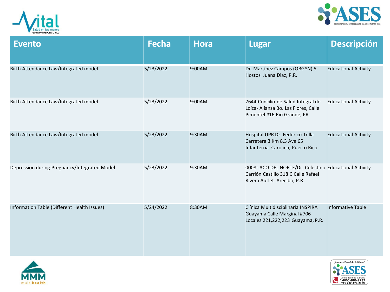



| <b>Evento</b>                                | <b>Fecha</b> | <b>Hora</b> | <b>Lugar</b>                                                                                                                 | <b>Descripción</b>          |
|----------------------------------------------|--------------|-------------|------------------------------------------------------------------------------------------------------------------------------|-----------------------------|
| Birth Attendance Law/Integrated model        | 5/23/2022    | 9:00AM      | Dr. Martínez Campos (OBGYN) 5<br>Hostos Juana Diaz, P.R.                                                                     | <b>Educational Activity</b> |
| Birth Attendance Law/Integrated model        | 5/23/2022    | 9:00AM      | 7644-Concilio de Salud Integral de<br>Loíza- Alianza Bo. Las Flores, Calle<br>Pimentel #16 Rio Grande, PR                    | <b>Educational Activity</b> |
| Birth Attendance Law/Integrated model        | 5/23/2022    | 9:30AM      | Hospital UPR Dr. Federico Trilla<br>Carretera 3 Km 8.3 Ave 65<br>Infanterria Carolina, Puerto Rico                           | <b>Educational Activity</b> |
| Depression during Pregnancy/Integrated Model | 5/23/2022    | 9:30AM      | 0008- ACO DEL NORTE/Dr. Celestino Educational Activity<br>Carrión Castillo 318 C Calle Rafael<br>Rivera Autlet Arecibo, P.R. |                             |
| Information Table (Different Health Issues)  | 5/24/2022    | 8:30AM      | Clínica Multidisciplinaria INSPIRA<br>Guayama Calle Marginal #706<br>Locales 221,222,223 Guayama, P.R.                       | <b>Informative Table</b>    |



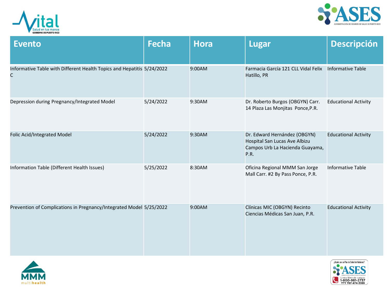



| <b>Evento</b>                                                               | <b>Fecha</b> | <b>Hora</b> | <b>Lugar</b>                                                                                             | <b>Descripción</b>          |
|-----------------------------------------------------------------------------|--------------|-------------|----------------------------------------------------------------------------------------------------------|-----------------------------|
| Informative Table with Different Health Topics and Hepatitis 5/24/2022<br>С |              | 9:00AM      | Farmacia García 121 CLL Vidal Felix<br>Hatillo, PR                                                       | <b>Informative Table</b>    |
| Depression during Pregnancy/Integrated Model                                | 5/24/2022    | 9:30AM      | Dr. Roberto Burgos (OBGYN) Carr.<br>14 Plaza Las Monjitas Ponce, P.R.                                    | <b>Educational Activity</b> |
| Folic Acid/Integrated Model                                                 | 5/24/2022    | 9:30AM      | Dr. Edward Hernández (OBGYN)<br>Hospital San Lucas Ave Albizu<br>Campos Urb La Hacienda Guayama,<br>P.R. | <b>Educational Activity</b> |
| Information Table (Different Health Issues)                                 | 5/25/2022    | 8:30AM      | Oficina Regional MMM San Jorge<br>Mall Carr. #2 By Pass Ponce, P.R.                                      | <b>Informative Table</b>    |
| Prevention of Complications in Pregnancy/Integrated Model 5/25/2022         |              | 9:00AM      | Clínicas MIC (OBGYN) Recinto<br>Ciencias Médicas San Juan, P.R.                                          | <b>Educational Activity</b> |



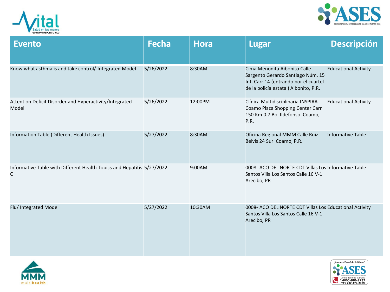



| <b>Evento</b>                                                                          | <b>Fecha</b> | <b>Hora</b> | <b>Lugar</b>                                                                                                                                        | <b>Descripción</b>          |
|----------------------------------------------------------------------------------------|--------------|-------------|-----------------------------------------------------------------------------------------------------------------------------------------------------|-----------------------------|
| Know what asthma is and take control/ Integrated Model                                 | 5/26/2022    | 8:30AM      | Cima Menonita Aibonito Calle<br>Sargento Gerardo Santiago Núm. 15<br>Int. Carr 14 (entrando por el cuartel<br>de la policía estatal) Aibonito, P.R. | <b>Educational Activity</b> |
| Attention Deficit Disorder and Hyperactivity/Integrated<br>Model                       | 5/26/2022    | 12:00PM     | Clínica Multidisciplinaria INSPIRA<br>Coamo Plaza Shopping Center Carr<br>150 Km 0.7 Bo. Ildefonso Coamo,<br>P.R.                                   | <b>Educational Activity</b> |
| Information Table (Different Health Issues)                                            | 5/27/2022    | 8:30AM      | Oficina Regional MMM Calle Ruiz<br>Belvis 24 Sur Coamo, P.R.                                                                                        | <b>Informative Table</b>    |
| Informative Table with Different Health Topics and Hepatitis 5/27/2022<br>$\mathsf{C}$ |              | 9:00AM      | 0008- ACO DEL NORTE CDT Villas Los Informative Table<br>Santos Villa Los Santos Calle 16 V-1<br>Arecibo, PR                                         |                             |
| Flu/ Integrated Model                                                                  | 5/27/2022    | 10:30AM     | 0008- ACO DEL NORTE CDT Villas Los Educational Activity<br>Santos Villa Los Santos Calle 16 V-1<br>Arecibo, PR                                      |                             |